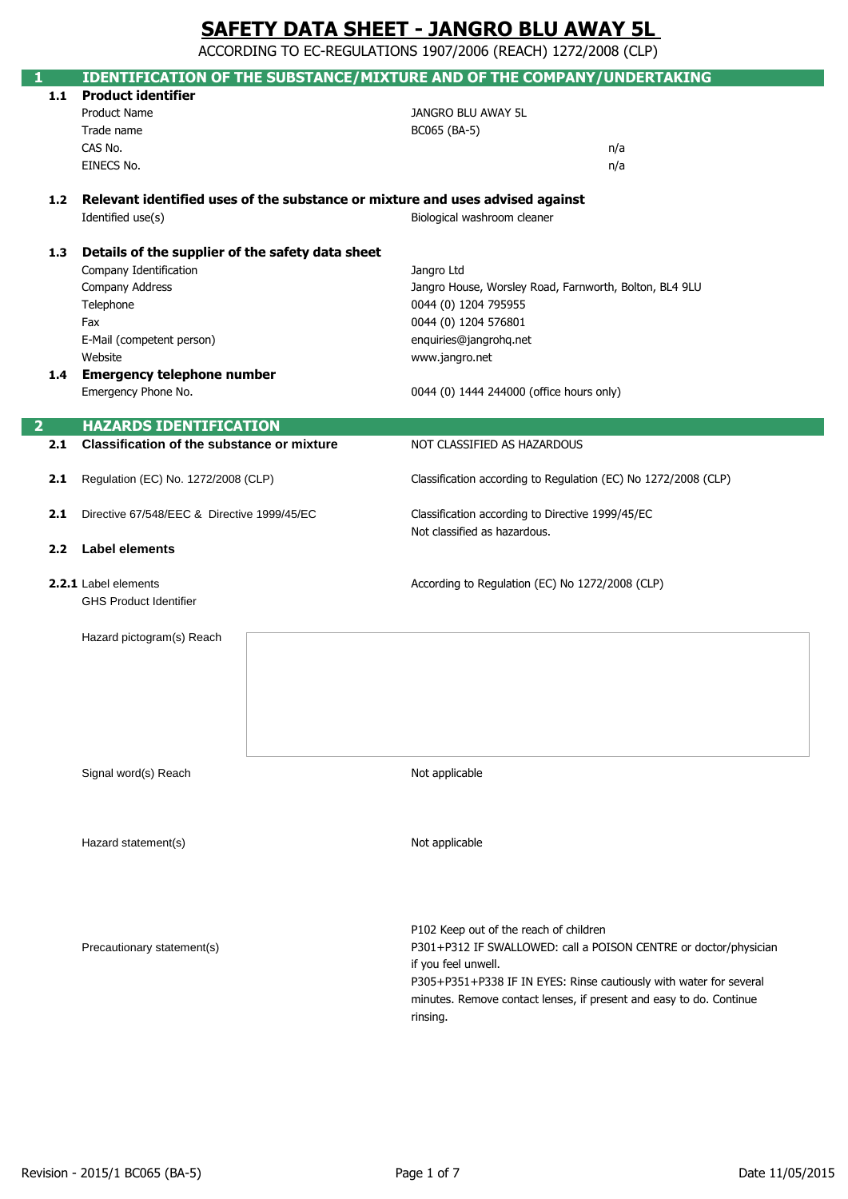ACCORDING TO EC-REGULATIONS 1907/2006 (REACH) 1272/2008 (CLP)

|                | IDENTIFICATION OF THE SUBSTANCE/MIXTURE AND OF THE COMPANY/UNDERTAKING        |                                                                     |
|----------------|-------------------------------------------------------------------------------|---------------------------------------------------------------------|
| 1.1            | <b>Product identifier</b>                                                     |                                                                     |
|                | Product Name                                                                  | JANGRO BLU AWAY 5L                                                  |
|                | Trade name                                                                    | BC065 (BA-5)                                                        |
|                | CAS No.                                                                       | n/a                                                                 |
|                | EINECS No.                                                                    | n/a                                                                 |
|                |                                                                               |                                                                     |
| 1.2            | Relevant identified uses of the substance or mixture and uses advised against |                                                                     |
|                | Identified use(s)                                                             | Biological washroom cleaner                                         |
|                |                                                                               |                                                                     |
| 1.3            | Details of the supplier of the safety data sheet                              |                                                                     |
|                | Company Identification                                                        | Jangro Ltd                                                          |
|                | Company Address                                                               | Jangro House, Worsley Road, Farnworth, Bolton, BL4 9LU              |
|                | Telephone                                                                     | 0044 (0) 1204 795955                                                |
|                | Fax                                                                           | 0044 (0) 1204 576801                                                |
|                | E-Mail (competent person)                                                     | enquiries@jangrohq.net                                              |
|                | Website                                                                       | www.jangro.net                                                      |
|                | 1.4 Emergency telephone number                                                |                                                                     |
|                | Emergency Phone No.                                                           | 0044 (0) 1444 244000 (office hours only)                            |
|                |                                                                               |                                                                     |
| $\overline{2}$ | <b>HAZARDS IDENTIFICATION</b>                                                 |                                                                     |
| 2.1            | <b>Classification of the substance or mixture</b>                             | NOT CLASSIFIED AS HAZARDOUS                                         |
|                |                                                                               |                                                                     |
| 2.1            | Regulation (EC) No. 1272/2008 (CLP)                                           | Classification according to Regulation (EC) No 1272/2008 (CLP)      |
| 2.1            | Directive 67/548/EEC & Directive 1999/45/EC                                   | Classification according to Directive 1999/45/EC                    |
|                |                                                                               | Not classified as hazardous.                                        |
| 2.2            | <b>Label elements</b>                                                         |                                                                     |
|                |                                                                               |                                                                     |
|                | 2.2.1 Label elements                                                          | According to Regulation (EC) No 1272/2008 (CLP)                     |
|                | <b>GHS Product Identifier</b>                                                 |                                                                     |
|                |                                                                               |                                                                     |
|                | Hazard pictogram(s) Reach                                                     |                                                                     |
|                |                                                                               |                                                                     |
|                |                                                                               |                                                                     |
|                |                                                                               |                                                                     |
|                |                                                                               |                                                                     |
|                |                                                                               |                                                                     |
|                |                                                                               |                                                                     |
|                | Signal word(s) Reach                                                          | Not applicable                                                      |
|                |                                                                               |                                                                     |
|                |                                                                               |                                                                     |
|                |                                                                               |                                                                     |
|                | Hazard statement(s)                                                           | Not applicable                                                      |
|                |                                                                               |                                                                     |
|                |                                                                               |                                                                     |
|                |                                                                               |                                                                     |
|                |                                                                               |                                                                     |
|                |                                                                               | P102 Keep out of the reach of children                              |
|                | Precautionary statement(s)                                                    | P301+P312 IF SWALLOWED: call a POISON CENTRE or doctor/physician    |
|                |                                                                               | if you feel unwell.                                                 |
|                |                                                                               | P305+P351+P338 IF IN EYES: Rinse cautiously with water for several  |
|                |                                                                               | minutes. Remove contact lenses, if present and easy to do. Continue |
|                |                                                                               | rinsing.                                                            |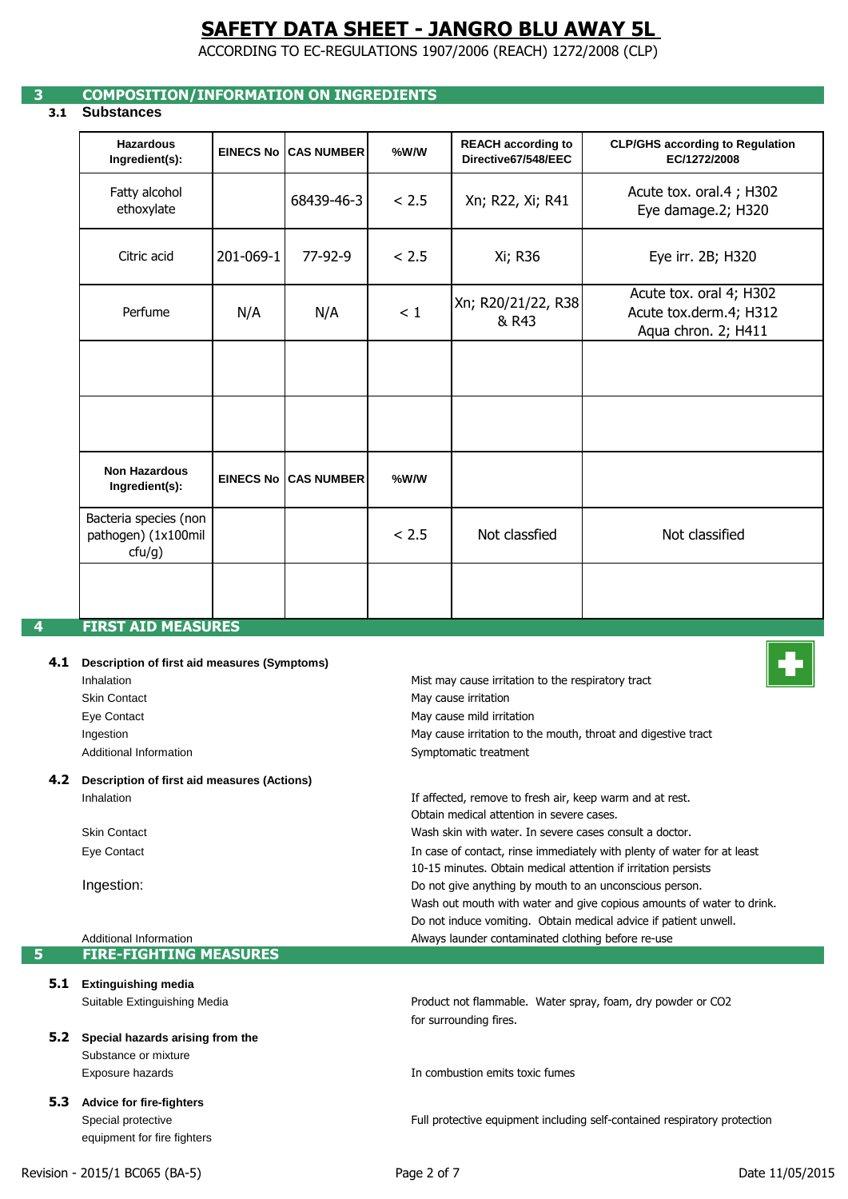ACCORDING TO EC-REGULATIONS 1907/2006 (REACH) 1272/2008 (CLP)

## **3 COMPOSITION/INFORMATION ON INGREDIENTS**

## **3.1 Substances**

| <b>Hazardous</b><br>Ingredient(s):                     |           | <b>EINECS No CAS NUMBER</b>  | %W/W  | <b>REACH according to</b><br>Directive67/548/EEC | <b>CLP/GHS according to Regulation</b><br>EC/1272/2008                   |
|--------------------------------------------------------|-----------|------------------------------|-------|--------------------------------------------------|--------------------------------------------------------------------------|
| Fatty alcohol<br>ethoxylate                            |           | 68439-46-3                   | < 2.5 | Xn; R22, Xi; R41                                 | Acute tox. oral.4; H302<br>Eye damage.2; H320                            |
| Citric acid                                            | 201-069-1 | 77-92-9                      | < 2.5 | Xi; R36                                          | Eye irr. 2B; H320                                                        |
| Perfume                                                | N/A       | N/A                          | < 1   | Xn; R20/21/22, R38<br>& R43                      | Acute tox. oral 4; H302<br>Acute tox.derm.4; H312<br>Aqua chron. 2; H411 |
|                                                        |           |                              |       |                                                  |                                                                          |
|                                                        |           |                              |       |                                                  |                                                                          |
| <b>Non Hazardous</b><br>Ingredient(s):                 |           | <b>EINECS No ICAS NUMBER</b> | %W/W  |                                                  |                                                                          |
| Bacteria species (non<br>pathogen) (1x100mil<br>ctu/g) |           |                              | < 2.5 | Not classfied                                    | Not classified                                                           |
|                                                        |           |                              |       |                                                  |                                                                          |
| <b>FIRST AID MEASURES</b>                              |           |                              |       |                                                  |                                                                          |

#### **4.1 Description of first aid measures (Symptoms)**

| Inhalation             |
|------------------------|
| Skin Contact           |
| Eye Contact            |
| Ingestion              |
| Additional Information |
|                        |

### **4.2 Description of first aid measures (Actions)** Inhalation

Skin Contact Eye Contact

Ingestion:

#### Additional Information **5 FIRE-FIGHTING MEASURES**

- **5.1 Extinguishing media** Suitable Extinguishing Media
- **5.2 Special hazards arising from the**  Substance or mixture Exposure hazards
- **5.3 Advice for fire-fighters** Special protective equipment for fire fighters





Obtain medical attention in severe cases. Wash skin with water. In severe cases consult a doctor. If affected, remove to fresh air, keep warm and at rest. 10-15 minutes. Obtain medical attention if irritation persists In case of contact, rinse immediately with plenty of water for at least Do not induce vomiting. Obtain medical advice if patient unwell. Wash out mouth with water and give copious amounts of water to drink. Do not give anything by mouth to an unconscious person.

May cause irritation to the mouth, throat and digestive tract

Mist may cause irritation to the respiratory tract

Always launder contaminated clothing before re-use

for surrounding fires. Product not flammable. Water spray, foam, dry powder or CO2

In combustion emits toxic fumes

Symptomatic treatment

May cause mild irritation May cause irritation

Full protective equipment including self-contained respiratory protection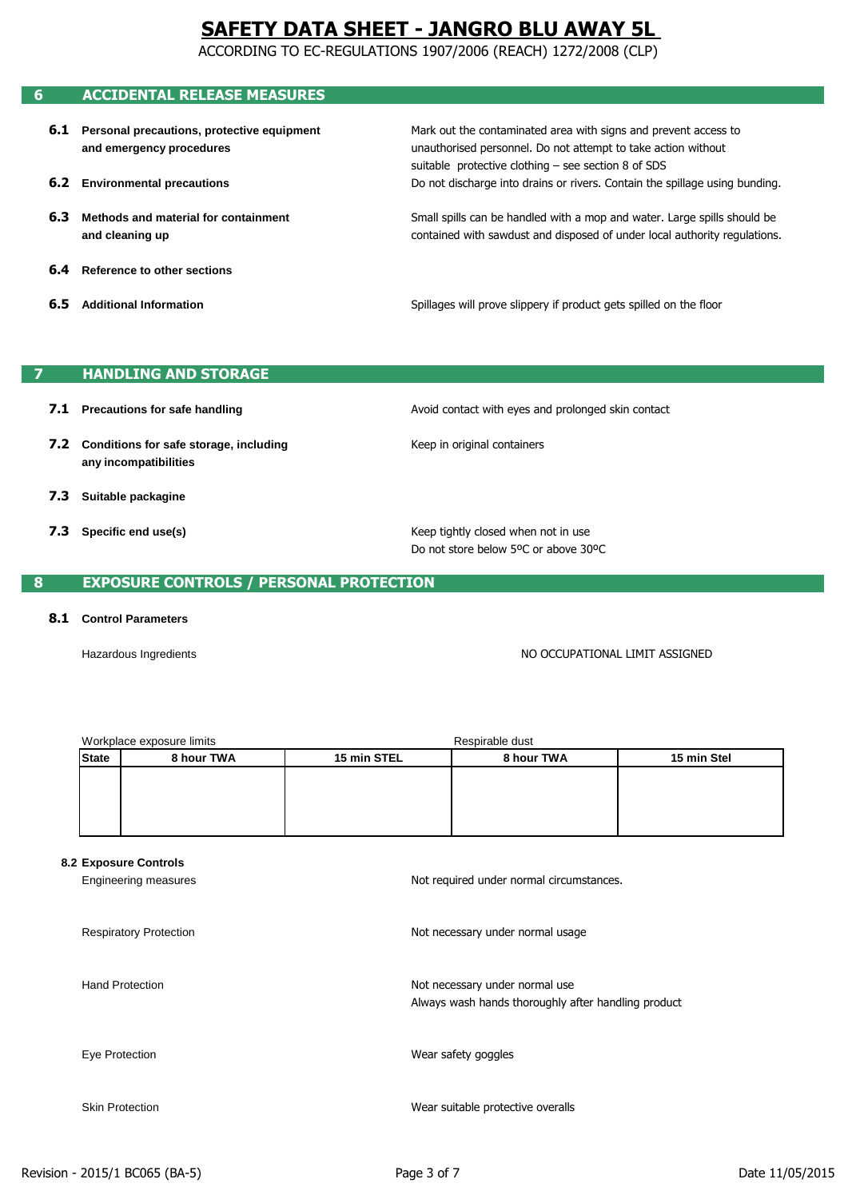ACCORDING TO EC-REGULATIONS 1907/2006 (REACH) 1272/2008 (CLP)

## **6 ACCIDENTAL RELEASE MEASURES**

- **6.1 Personal precautions, protective equipment and emergency procedures**
- **6.2 Environmental precautions**
- **6.3 Methods and material for containment and cleaning up**
- **6.4 Reference to other sections**
- **6.5 Additional Information**

unauthorised personnel. Do not attempt to take action without Mark out the contaminated area with signs and prevent access to suitable protective clothing – see section 8 of SDS Do not discharge into drains or rivers. Contain the spillage using bunding.

contained with sawdust and disposed of under local authority regulations. Small spills can be handled with a mop and water. Large spills should be

Spillages will prove slippery if product gets spilled on the floor

## **7 HANDLING AND STORAGE**

- **7.1 Precautions for safe handling**
- **7.2 Conditions for safe storage, including any incompatibilities**
- **7.3 Suitable packagine**
- **7.3 Specific end use(s)**

Avoid contact with eyes and prolonged skin contact

Keep in original containers

Do not store below 5ºC or above 30ºC Keep tightly closed when not in use

## **8 EXPOSURE CONTROLS / PERSONAL PROTECTION**

#### **8.1 Control Parameters**

Hazardous Ingredients

NO OCCUPATIONAL LIMIT ASSIGNED

|              | Workplace exposure limits | Respirable dust |            |             |
|--------------|---------------------------|-----------------|------------|-------------|
| <b>State</b> | 8 hour TWA                | 15 min STEL     | 8 hour TWA | 15 min Stel |
|              |                           |                 |            |             |
|              |                           |                 |            |             |
|              |                           |                 |            |             |
|              |                           |                 |            |             |

#### **8.2 Exposure Controls**

| Engineering measures          | Not required under normal circumstances.                                              |
|-------------------------------|---------------------------------------------------------------------------------------|
| <b>Respiratory Protection</b> | Not necessary under normal usage                                                      |
| <b>Hand Protection</b>        | Not necessary under normal use<br>Always wash hands thoroughly after handling product |
| Eye Protection                | Wear safety goggles                                                                   |
| <b>Skin Protection</b>        | Wear suitable protective overalls                                                     |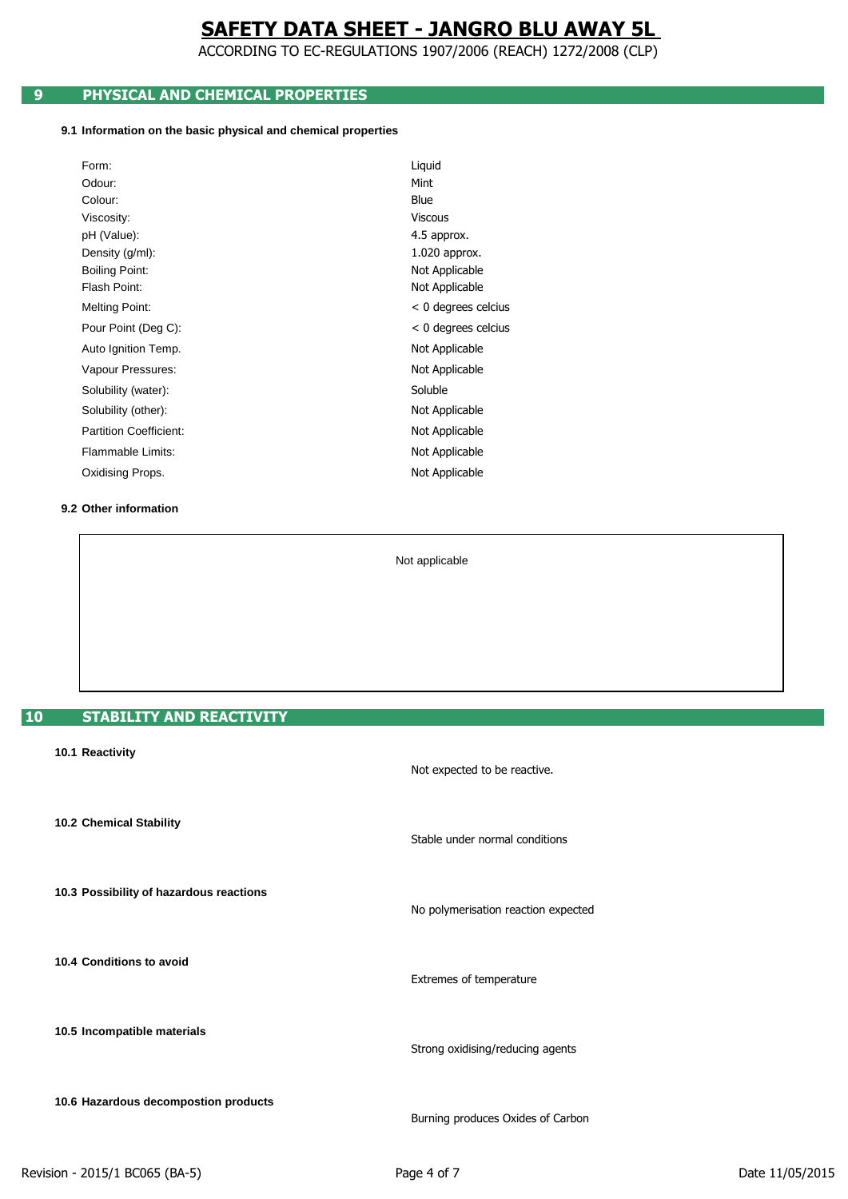ACCORDING TO EC-REGULATIONS 1907/2006 (REACH) 1272/2008 (CLP)

## **9 PHYSICAL AND CHEMICAL PROPERTIES**

#### **9.1 Information on the basic physical and chemical properties**

| Form:                         | Liquid                |
|-------------------------------|-----------------------|
| Odour:                        | Mint                  |
| Colour:                       | Blue                  |
| Viscosity:                    | <b>Viscous</b>        |
| pH (Value):                   | 4.5 approx.           |
| Density (g/ml):               | 1.020 approx.         |
| <b>Boiling Point:</b>         | Not Applicable        |
| Flash Point:                  | Not Applicable        |
| <b>Melting Point:</b>         | $< 0$ degrees celcius |
| Pour Point (Deg C):           | $< 0$ degrees celcius |
| Auto Ignition Temp.           | Not Applicable        |
| Vapour Pressures:             | Not Applicable        |
| Solubility (water):           | Soluble               |
| Solubility (other):           | Not Applicable        |
| <b>Partition Coefficient:</b> | Not Applicable        |
| Flammable Limits:             | Not Applicable        |
| Oxidising Props.              | Not Applicable        |
|                               |                       |

### **9.2 Other information**

Not applicable

## **10 STABILITY AND REACTIVITY**

| 10.1 Reactivity                         | Not expected to be reactive.        |
|-----------------------------------------|-------------------------------------|
| 10.2 Chemical Stability                 | Stable under normal conditions      |
| 10.3 Possibility of hazardous reactions | No polymerisation reaction expected |
| 10.4 Conditions to avoid                | Extremes of temperature             |
| 10.5 Incompatible materials             | Strong oxidising/reducing agents    |
| 10.6 Hazardous decompostion products    | Burning produces Oxides of Carbon   |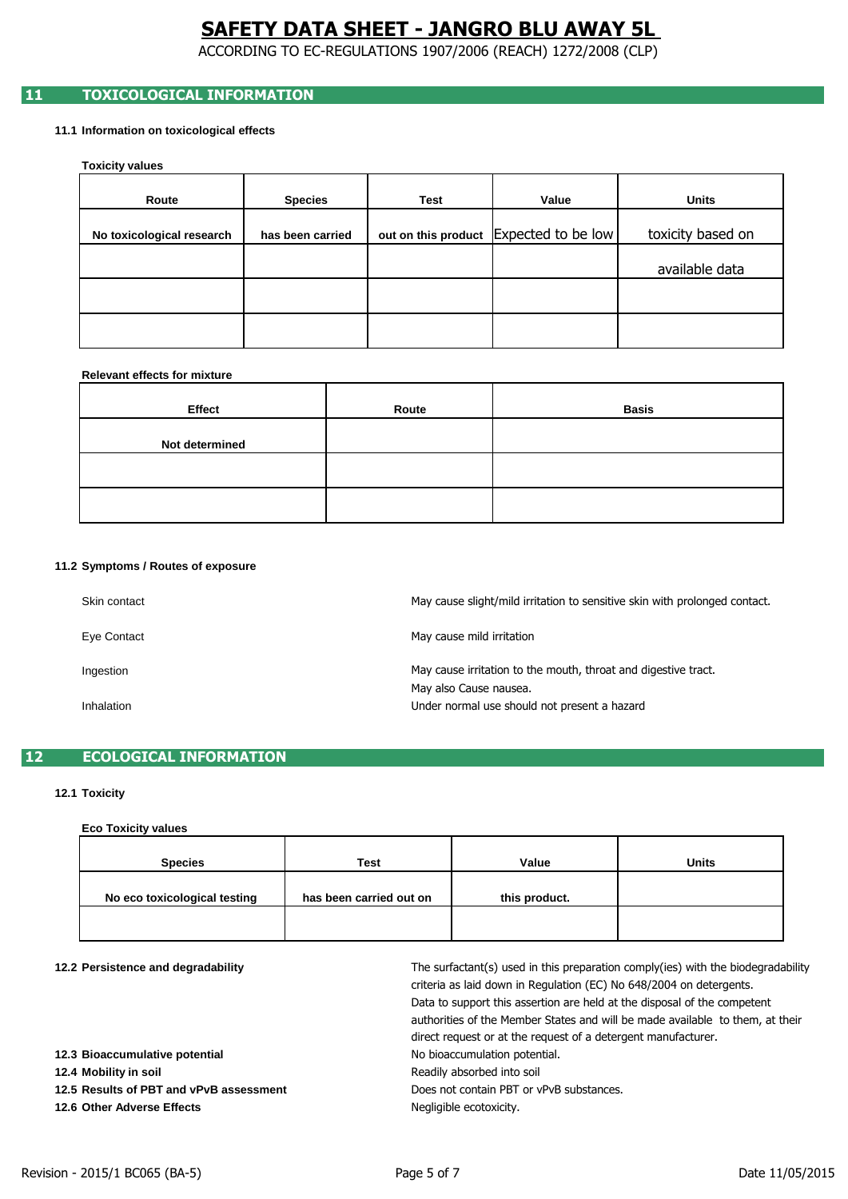ACCORDING TO EC-REGULATIONS 1907/2006 (REACH) 1272/2008 (CLP)

## **11 TOXICOLOGICAL INFORMATION**

### **11.1 Information on toxicological effects**

**Toxicity values**

| Route                     | <b>Species</b>   | Test | Value                                  | <b>Units</b>      |
|---------------------------|------------------|------|----------------------------------------|-------------------|
| No toxicological research | has been carried |      | out on this product Expected to be low | toxicity based on |
|                           |                  |      |                                        | available data    |
|                           |                  |      |                                        |                   |
|                           |                  |      |                                        |                   |

### **Relevant effects for mixture**

| Effect         | Route | <b>Basis</b> |
|----------------|-------|--------------|
| Not determined |       |              |
|                |       |              |
|                |       |              |

#### **11.2 Symptoms / Routes of exposure**

| Skin contact | May cause slight/mild irritation to sensitive skin with prolonged contact. |
|--------------|----------------------------------------------------------------------------|
| Eye Contact  | May cause mild irritation                                                  |
| Ingestion    | May cause irritation to the mouth, throat and digestive tract.             |
| Inhalation   | May also Cause nausea.<br>Under normal use should not present a hazard     |

## **12 ECOLOGICAL INFORMATION**

## **12.1 Toxicity**

## **Eco Toxicity values**

| <b>Species</b>               | <b>Test</b>             | Value         | <b>Units</b> |
|------------------------------|-------------------------|---------------|--------------|
| No eco toxicological testing | has been carried out on | this product. |              |
|                              |                         |               |              |

| 12.2 Persistence and degradability |
|------------------------------------|
|------------------------------------|

| 12.2 Persistence and degradability      | The surfactant(s) used in this preparation comply(ies) with the biodegradability<br>criteria as laid down in Regulation (EC) No 648/2004 on detergents.<br>Data to support this assertion are held at the disposal of the competent<br>authorities of the Member States and will be made available to them, at their<br>direct request or at the request of a detergent manufacturer. |
|-----------------------------------------|---------------------------------------------------------------------------------------------------------------------------------------------------------------------------------------------------------------------------------------------------------------------------------------------------------------------------------------------------------------------------------------|
| 12.3 Bioaccumulative potential          | No bioaccumulation potential.                                                                                                                                                                                                                                                                                                                                                         |
| 12.4 Mobility in soil                   | Readily absorbed into soil                                                                                                                                                                                                                                                                                                                                                            |
| 12.5 Results of PBT and vPvB assessment | Does not contain PBT or vPvB substances.                                                                                                                                                                                                                                                                                                                                              |
| 12.6 Other Adverse Effects              | Negligible ecotoxicity.                                                                                                                                                                                                                                                                                                                                                               |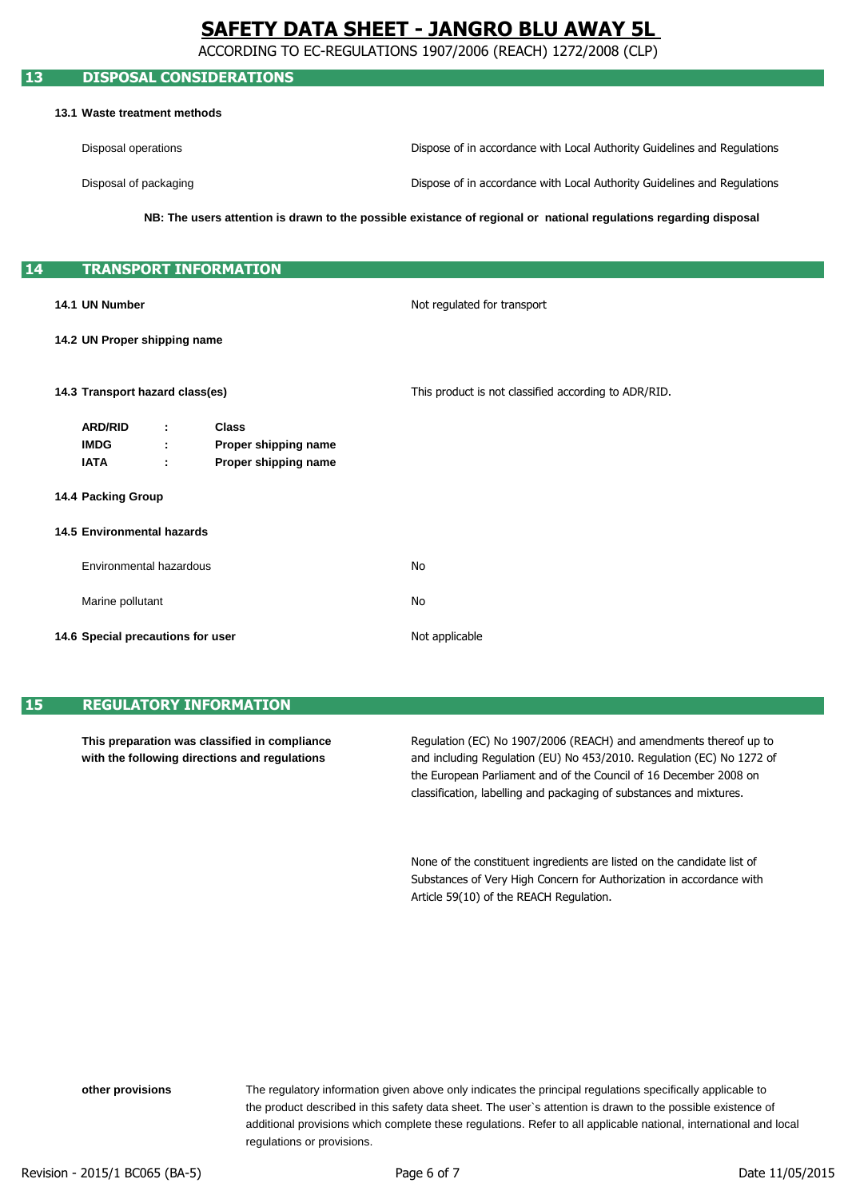ACCORDING TO EC-REGULATIONS 1907/2006 (REACH) 1272/2008 (CLP)

## **13 DISPOSAL CONSIDERATIONS 13.1 Waste treatment methods** Disposal operations Disposal of packaging **14 TRANSPORT INFORMATION 14.1 UN Number 14.2 UN Proper shipping name 14.3 Transport hazard class(es) ARD/RID : Class IMDG : Proper shipping name IATA : Proper shipping name 14.4 Packing Group 14.5 Environmental hazards** Environmental hazardous Marine pollutant **14.6 Special precautions for user** Not applicable This product is not classified according to ADR/RID. Not regulated for transport No No **NB: The users attention is drawn to the possible existance of regional or national regulations regarding disposal** Dispose of in accordance with Local Authority Guidelines and Regulations Dispose of in accordance with Local Authority Guidelines and Regulations

## **15 REGULATORY INFORMATION**

**This preparation was classified in compliance with the following directions and regulations**

and including Regulation (EU) No 453/2010. Regulation (EC) No 1272 of classification, labelling and packaging of substances and mixtures. Regulation (EC) No 1907/2006 (REACH) and amendments thereof up to the European Parliament and of the Council of 16 December 2008 on

Substances of Very High Concern for Authorization in accordance with None of the constituent ingredients are listed on the candidate list of Article 59(10) of the REACH Regulation.

regulations or provisions. The regulatory information given above only indicates the principal regulations specifically applicable to additional provisions which complete these regulations. Refer to all applicable national, international and local the product described in this safety data sheet. The user`s attention is drawn to the possible existence of